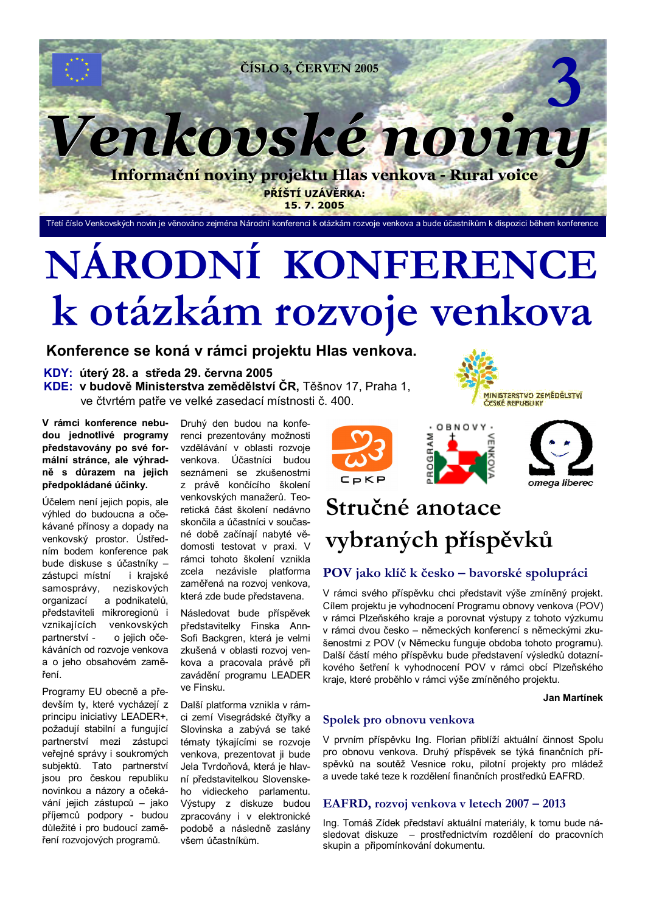

Třetí číslo Venkovských novin je věnováno zejména Národní konferenci k otázkám rozvoje venkova a bude účastníkům k dispozici během konference

# NÁRODNÍ KONFERENCE k otázkám rozvoje venkova

## Konference se koná v rámci projektu Hlas venkova.

### KDY: úterý 28. a středa 29. června 2005 KDE: v budově Ministerstva zemědělství ČR, Těšnov 17. Praha 1. ve čtvrtém patře ve velké zasedací místnosti č. 400.

V rámci konference nebudou jednotlivé programy představovány po své formální stránce, ale výhradně s důrazem na jejich předpokládané účinky.

Účelem není jejich popis, ale výhled do budoucna a očekávané přínosy a dopady na venkovský prostor. Ústředním bodem konference pak bude diskuse s účastníky zástupci místní i kraiské samosprávy, neziskových a podnikatelů, organizací představiteli mikroregionů i vznikajících venkovských partnerství o jejich očekáváních od rozvoje venkova a o jeho obsahovém zaměření.

Programy EU obecně a především ty, které vycházejí z principu iniciativy LEADER+, požadují stabilní a fungující partnerství mezi zástupci veřejné správy i soukromých subjektů. Tato partnerství jsou pro českou republiku novinkou a názory a očekávání jejich zástupců - jako příjemců podpory - budou důležité i pro budoucí zaměření rozvojových programů.

Druhý den budou na konferenci prezentovány možnosti vzdělávání v oblasti rozvoje venkova. Účastníci budou seznámeni se zkušenostmi z právě končícího školení venkovských manažerů. Teoretická část školení nedávno skončila a účastníci v současné době začínají nabyté vědomosti testovat v praxi. V rámci tohoto školení vznikla zcela nezávisle platforma zaměřená na rozvoj venkova, která zde bude představena.

Následovat bude příspěvek představitelky Finska Ann-Sofi Backgren, která je velmi zkušená v oblasti rozvoi venkova a pracovala právě při zavádění programu LEADER ve Finsku.

Další platforma vznikla v rámci zemí Visegrádské čtyřky a Slovinska a zabývá se také tématy týkajícími se rozvoje venkova, prezentovat ji bude Jela Tvrdoňová, která je hlavní představitelkou Slovenskeho vidieckeho parlamentu. Výstupy z diskuze budou zpracovány i v elektronické podobě a následně zaslány všem účastníkům.





# Stručné anotace vybraných příspěvků

## POV jako klíč k česko – bavorské spolupráci

V rámci svého příspěvku chci představit výše zmíněný projekt. Cílem projektu je vyhodnocení Programu obnovy venkova (POV) v rámci Plzeňského kraje a porovnat výstupy z tohoto výzkumu v rámci dvou česko - německých konferencí s německými zkušenostmi z POV (v Německu funguje obdoba tohoto programu). Další částí mého příspěvku bude představení výsledků dotazníkového šetření k vyhodnocení POV v rámci obcí Plzeňského kraje, které proběhlo v rámci výše zmíněného projektu.

### **Jan Martínek**

### Spolek pro obnovu venkova

V prvním příspěvku Ing. Florian přiblíží aktuální činnost Spolu pro obnovu venkova. Druhý příspěvek se týká finančních příspěvků na soutěž Vesnice roku, pilotní projekty pro mládež a uvede také teze k rozdělení finančních prostředků EAFRD.

### EAFRD, rozvoj venkova v letech 2007 – 2013

Ing. Tomáš Zídek představí aktuální materiály, k tomu bude následovat diskuze - prostřednictvím rozdělení do pracovních skupin a připomínkování dokumentu.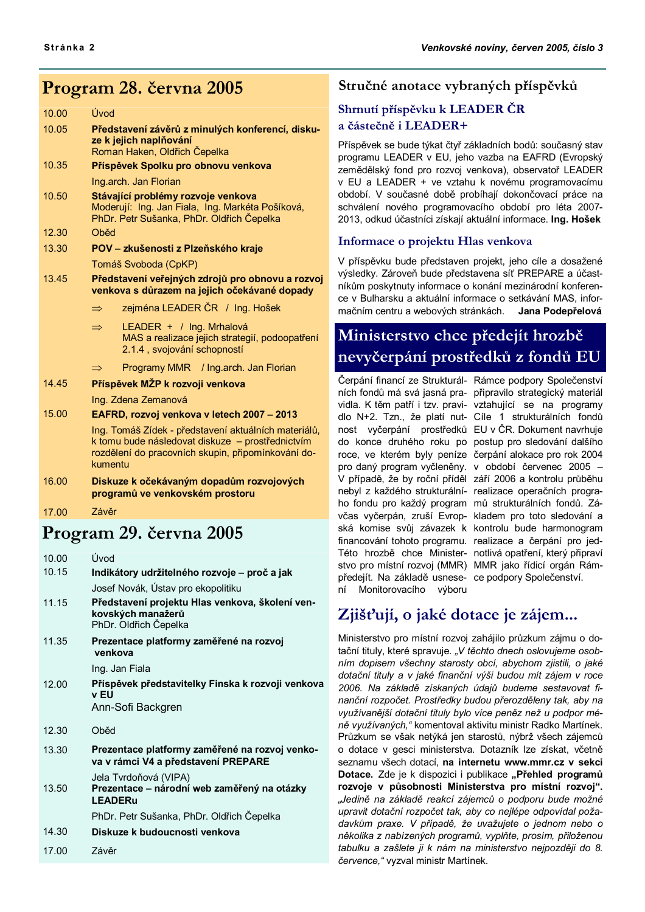## Program 28. června 2005

| 10.00 | Úvod                                                                                                                       | эш           |
|-------|----------------------------------------------------------------------------------------------------------------------------|--------------|
| 10.05 | Představení závěrů z minulých konferencí, disku-<br>ze k jejich naplňování                                                 | a čá<br>Přís |
|       | Roman Haken, Oldřich Čepelka                                                                                               | prog         |
| 10.35 | Příspěvek Spolku pro obnovu venkova                                                                                        | zem          |
|       | Ing.arch. Jan Florian                                                                                                      | v El         |
| 10.50 | Stávající problémy rozvoje venkova                                                                                         | obdo         |
|       | Moderují: Ing. Jan Fiala, Ing. Markéta Pošíková,                                                                           | schy         |
|       | PhDr. Petr Sušanka, PhDr. Oldřich Čepelka                                                                                  | 2013         |
| 12.30 | Oběd                                                                                                                       | Info         |
| 13.30 | POV - zkušenosti z Plzeňského kraje                                                                                        |              |
|       | Tomáš Svoboda (CpKP)                                                                                                       | V př         |
| 13.45 | Představení veřejných zdrojů pro obnovu a rozvoj                                                                           | výsl         |
|       | venkova s důrazem na jejich očekávané dopady                                                                               | níků         |
|       | zejména LEADER ČR / Ing. Hošek<br>$\Rightarrow$                                                                            | ce v<br>mač  |
|       | LEADER + / Ing. Mrhalová<br>$\Rightarrow$<br>MAS a realizace jejich strategií, podoopatření<br>2.1.4, svojování schopností | Mi           |
|       | Programy MMR / Ing.arch. Jan Florian<br>$\Rightarrow$                                                                      | ne           |
| 14.45 |                                                                                                                            | Čerp         |
|       | Příspěvek MŽP k rozvoji venkova                                                                                            | ních         |
|       | Ing. Zdena Zemanová                                                                                                        | vidla        |
| 15.00 | EAFRD, rozvoj venkova v letech 2007 - 2013                                                                                 | dlo          |
|       | Ing. Tomáš Zídek - představení aktuálních materiálů,                                                                       | nost         |
|       | k tomu bude následovat diskuze – prostřednictvím                                                                           | do           |
|       | rozdělení do pracovních skupin, připomínkování do-<br>kumentu                                                              | roce         |
|       |                                                                                                                            | pro          |
| 16.00 | Diskuze k očekávaným dopadům rozvojových                                                                                   | V př         |

programů ve venkovském prostoru 17.00 7ávěr

# Program 29. června 2005

| 10.00 | Úvod                                                                                          |
|-------|-----------------------------------------------------------------------------------------------|
| 10.15 | Indikátory udržitelného rozvoje - proč a jak                                                  |
|       | Josef Novák, Ústav pro ekopolitiku                                                            |
| 11.15 | Představení projektu Hlas venkova, školení ven-<br>kovských manažerů<br>PhDr. Oldřich Čepelka |
| 11.35 | Prezentace platformy zaměřené na rozvoj<br>venkova                                            |
|       | Ing. Jan Fiala                                                                                |
| 12.00 | Příspěvek představitelky Finska k rozvoji venkova<br>v FU<br>Ann-Sofi Backgren                |
| 12.30 | Oběd                                                                                          |
| 13.30 | Prezentace platformy zaměřené na rozvoj venko-<br>va v rámci V4 a představení PREPARE         |
| 13.50 | Jela Tvrdoňová (VIPA)<br>Prezentace – národní web zaměřený na otázky<br><b>LEADERu</b>        |
|       | PhDr. Petr Sušanka, PhDr. Oldřich Čepelka                                                     |
| 14.30 | Diskuze k budoucnosti venkova                                                                 |
| 17.00 | <i>Závěr</i>                                                                                  |

## Stručné anotace vybraných příspěvků

## nutí příspěvku k LEADER ČR ástečně i LEADER+

pěvek se bude týkat čtyř základních bodů: současný stav jramu LEADER v EU, jeho vazba na EAFRD (Evropský ědělský fond pro rozvoj venkova), observatoř LEADER U a LEADER + ve vztahu k novému programovacímu obí. V současné době probíhají dokončovací práce na válení nového programovacího období pro léta 2007-3, odkud účastníci získají aktuální informace. Ing. Hošek

### ormace o projektu Hlas venkova

físpěvku bude představen projekt, jeho cíle a dosažené edky. Zároveň bude představena síť PREPARE a účastm poskytnuty informace o konání mezinárodní konferen-Bulharsku a aktuální informace o setkávání MAS, inforiním centru a webových stránkách. Jana Podepřelová

# inisterstvo chce předejít hrozbě vyčerpání prostředků z fondů EU

pání financí ze Strukturál- Rámce podpory Společenství nebyl z každého strukturální- realizace operačních prograho fondu pro každý program mů strukturálních fondů. Závčas vyčerpán, zruší Evrop- kladem pro toto sledování a ská komise svůj závazek k kontrolu bude harmonogram financování tohoto programu. realizace a čerpání pro jed-Této hrozbě chce Minister- notlivá opatření, který připraví stvo pro místní rozvoj (MMR) MMR jako řídicí orgán Rámpředejít. Na základě usnese- ce podpory Společenství. ní Monitorovacího výboru

fondů má svá jasná pra- připravilo strategický materiál a. K těm patří i tzv. pravi- vztahující se na programy N+2. Tzn., že platí nut- Cíle 1 strukturálních fondů vyčerpání prostředků EU v ČR. Dokument navrhuje konce druhého roku po postup pro sledování dalšího , ve kterém byly peníze čerpání alokace pro rok 2004 daný program vyčleněny. v období červenec 2005 fípadě, že by roční příděl září 2006 a kontrolu průběhu

# Zjišťují, o jaké dotace je zájem...

Ministerstvo pro místní rozvoj zahájilo průzkum zájmu o dotační tituly, které spravuje. "V těchto dnech oslovujeme osobním dopisem všechny starosty obcí, abychom zjistili, o jaké dotační tituly a v jaké finanční výši budou mít zájem v roce 2006. Na základě získaných údajů budeme sestavovat finanční rozpočet. Prostředky budou přerozděleny tak, aby na využívanější dotační tituly bylo více peněz než u podpor méně využívaných," komentoval aktivitu ministr Radko Martínek. Průzkum se však netýká jen starostů, nýbrž všech zájemců o dotace v gesci ministerstva. Dotazník lze získat, včetně seznamu všech dotací, na internetu www.mmr.cz v sekci Dotace. Zde je k dispozici i publikace "Přehled programů rozvoje v působnosti Ministerstva pro místní rozvoj". "Jedině na základě reakcí zájemců o podporu bude možné upravit dotační rozpočet tak, aby co nejlépe odpovídal požadavkům praxe. V případě, že uvažujete o jednom nebo o několika z nabízených programů, vyplňte, prosím, přiloženou tabulku a zašlete ji k nám na ministerstvo nejpozději do 8. července, " vyzval ministr Martínek.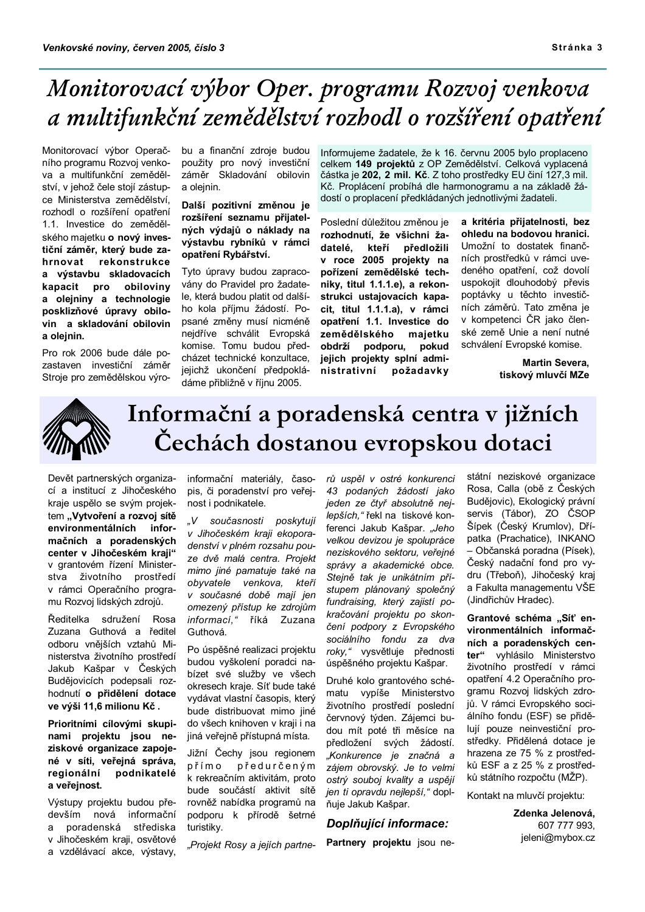# Monitorovací výbor Oper. programu Rozvoj venkova a multifunkční zemědělství rozbodl o rozšíření opatření

Monitorovací výbor Operačního programu Rozvoj venkova a multifunkční zemědělství, v jehož čele stojí zástupce Ministerstva zemědělství. rozhodl o rozšíření opatření 1.1. Investice do zemědělského majetku o nový investiční záměr, který bude zarekonstrukce hrnovat a výstavbu skladovacích obilovinv kapacit pro a olejniny a technologie posklizňové úpravy obilovin a skladování obilovin a olejnin.

Pro rok 2006 bude dále pozastaven investiční záměr Stroie pro zemědělskou výrobu a finanční zdroje budou použity pro nový investiční záměr Skladování obilovin a oleinin.

Další pozitivní změnou je rozšíření seznamu přijatelných výdajů o náklady na výstavbu rybníků v rámci opatření Rybářství.

Tyto úpravy budou zapracovány do Pravidel pro žadatele, která budou platit od dalšího kola příjmu žádostí. Popsané změny musí nicméně nejdříve schválit Evropská komise. Tomu budou předcházet technické konzultace. jejichž ukončení předpokládáme přibližně v říjnu 2005.

Informujeme žadatele, že k 16. červnu 2005 bylo proplaceno celkem 149 projektů z OP Zemědělství. Celková vyplacená částka je 202, 2 mil. Kč. Z toho prostředky EU činí 127,3 mil. Kč. Proplácení probíhá dle harmonogramu a na základě žádostí o proplacení předkládaných jednotlivými žadateli.

Poslední důležitou změnou je rozhodnutí. že všichni žadatelé. kteří předložili v roce 2005 projekty na pořízení zemědělské techniky, titul 1.1.1.e), a rekonstrukci ustajovacích kapacit, titul 1.1.1.a), v rámci opatření 1.1. Investice do zemědělského majetku obdrží podporu, pokud jejich projekty splní administrativní požadavky

a kritéria přijatelnosti, bez ohledu na bodovou hranici. Umožní to dostatek finančních prostředků v rámci uvedeného opatření, což dovolí uspokojit dlouhodobý převis poptávky u těchto investičních záměrů. Tato změna je v kompetenci ČR jako členské země Unie a není nutné schválení Evropské komise.

> **Martin Severa,** tiskový mluvčí MZe



# Informační a poradenská centra v jižních Čechách dostanou evropskou dotaci

Devět partnerských organizací a institucí z Jihočeského kraje uspělo se svým projektem "Vytvoření a rozvoj sítě environmentálních informačních a poradenských center v Jihočeském kraji" v grantovém řízení Ministerstva životního prostředí v rámci Operačního programu Rozvoi lidských zdrojů.

Ředitelka sdružení Rosa Zuzana Guthová a ředitel odboru vnějších vztahů Ministerstva životního prostředí Jakub Kašpar v Českých Budějovicích podepsali rozhodnutí o přidělení dotace ve výši 11,6 milionu Kč.

Prioritními cílovými skupinami projektu jsou neziskové organizace zapojené v síti, veřejná správa, regionální podnikatelé a veřejnost.

Výstupy projektu budou především nová informační  $\overline{a}$ poradenská střediska v Jihočeském kraji, osvětové a vzdělávací akce, výstavy,

informační materiály, časopis, či poradenství pro veřejnost i podnikatele.

současnosti poskytují  $V$ v Jihočeském kraji ekoporadenství v plném rozsahu pouze dvě malá centra. Projekt mimo jiné pamatuje také na obyvatele venkova, kteří v současné době mají jen omezený přístup ke zdrojům informací," říká Zuzana Guthová.

Po úspěšné realizaci projektu budou vyškolení poradci nabízet své služby ve všech okresech kraje. Síť bude také vydávat vlastní časopis, který bude distribuovat mimo jiné do všech knihoven v kraji i na jiná veřejně přístupná místa.

Jižní Čechy jsou regionem přímo předurčeným k rekreačním aktivitám, proto bude součástí aktivit sítě rovněž nabídka programů na podporu k přírodě šetrné turistiky.

"Projekt Rosy a jejích partne-

rů uspěl v ostré konkurenci 43 podaných žádostí jako jeden ze čtyř absolutně nejlepších," řekl na tiskové konferenci Jakub Kašpar. "Jeho velkou devizou je spolupráce neziskového sektoru, veřejné správy a akademické obce. Stejně tak je unikátním přístupem plánovaný společný fundraising, který zajistí pokračování projektu po skončení podpory z Evropského sociálního fondu za dva roky," vysvětluje přednosti úspěšného projektu Kašpar.

Druhé kolo grantového schématu vypíše Ministerstvo životního prostředí poslední červnový týden. Zájemci budou mít poté tři měsíce na předložení svých žádostí. "Konkurence je značná a zájem obrovský. Je to velmi ostrý souboj kvality a uspějí jen ti opravdu nejlepší," doplňuje Jakub Kašpar.

### Doplňuiící informace:

Partnery projektu jsou ne-

státní neziskové organizace Rosa, Calla (obě z Českých Budějovic), Ekologický právní servis (Tábor), ZO ČSOP Šípek (Český Krumlov), Dřípatka (Prachatice), INKANO - Občanská poradna (Písek), Český nadační fond pro vydru (Třeboň), Jihočeský kraj a Fakulta managementu VŠE (Jindřichův Hradec).

Grantové schéma "Síť environmentálních informačních a poradenských center" vyhlásilo Ministerstvo životního prostředí v rámci opatření 4.2 Operačního programu Rozvoj lidských zdrojů. V rámci Evropského sociálního fondu (ESF) se přidělují pouze neinvestiční prostředky. Přidělená dotace je hrazena ze 75 % z prostředků ESF a z 25 % z prostředků státního rozpočtu (MŽP).

Kontakt na mluvčí projektu:

Zdenka Jelenová, 607 777 993, jeleni@mybox.cz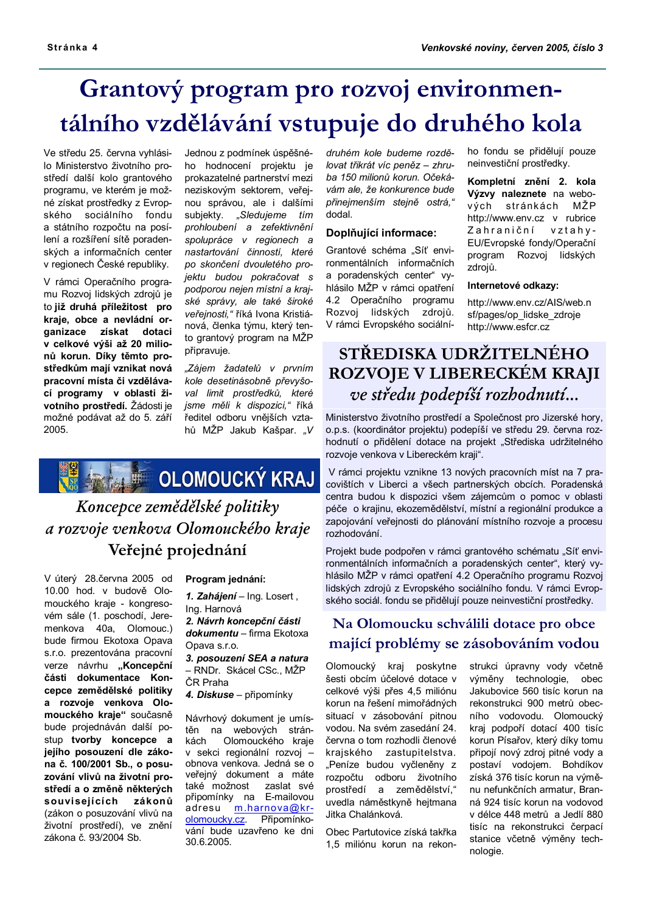# Grantový program pro rozvoj environmentálního vzdělávání vstupuje do druhého kola

Ve středu 25. června vyhlásilo Ministerstvo životního prostředí další kolo grantového programu, ve kterém je možné získat prostředky z Evropského sociálního fondu a státního rozpočtu na posílení a rozšíření sítě poradenských a informačních center v regionech České republiky.

V rámci Operačního programu Rozvoj lidských zdrojů je to iiž druhá příležitost pro kraje, obce a nevládní organizace získat dotaci v celkové výši až 20 milionů korun. Díky těmto prostředkům mají vznikat nová pracovní místa či vzdělávací programy v oblasti životního prostředí. Žádosti je možné podávat až do 5. září 2005.

Jednou z podmínek úspěšného hodnocení projektu je prokazatelné partnerství mezi neziskovým sektorem, veřejnou správou, ale i dalšími subjekty. "Sledujeme tím prohloubení a zefektivnění spolupráce v regionech a nastartování činností, které po skončení dvouletého projektu budou pokračovat s podporou nejen místní a krajské správy, ale také široké veřejnosti," říká Ivona Kristiánová, členka týmu, který tento grantový program na MŽP připravuje.

"Zájem žadatelů v prvním kole desetinásobně převyšoval limit prostředků, které jsme měli k dispozici," říká ředitel odboru vnějších vztahů MŽP Jakub Kašpar. "V



# Koncepce zemědělské politiky a rozvoje venkova Olomouckého kraje Veřejné projednání

V úterý 28.června 2005 od 10.00 hod. v budově Olomouckého kraje - kongresovém sále (1. poschodí, Jeremenkova 40a, Olomouc.) bude firmou Ekotoxa Opava s.r.o. prezentována pracovní verze návrhu "Koncepční části dokumentace Koncepce zemědělské politiky a rozvoje venkova Olomouckého kraje" současně bude projednáván další postup tvorby koncepce a jejího posouzení dle zákona č. 100/2001 Sb., o posuzování vlivů na životní prostředí a o změně některých souvisejících zákonů (zákon o posuzování vlivů na životní prostředí), ve znění zákona č. 93/2004 Sb.

Program jednání:

1. Zahájení - Ing. Losert, Ing. Harnová 2. Návrh koncepční části dokumentu - firma Ekotoxa

Opava s.r.o. 3. posouzení SEA a natura - RNDr. Skácel CSc., MŽP ČR Praha

4. Diskuse - připomínky

Návrhový dokument je umístěn na webových stránkách Olomouckého kraje v sekci regionální rozvoj obnova venkova. Jedná se o veřejný dokument a máte také možnost zaslat své připomínky na E-mailovou adresu m.harnova@krolomoucky.cz. Připomínkování bude uzavřeno ke dni 30.6.2005.

druhém kole budeme rozdělovat třikrát víc peněz - zhruba 150 milionů korun. Očekávám ale, že konkurence bude přineimenším steině ostrá." dodal.

### Doplňuiící informace:

Grantové schéma "Síť environmentálních informačních a poradenských center" vyhlásilo MŽP v rámci opatření 4.2 Operačního programu Rozvoj lidských zdrojů. V rámci Evropského sociálního fondu se přidělují pouze neinvestiční prostředky.

Kompletní znění 2. kola Výzvy naleznete na webových stránkách MŽP http://www.env.cz v rubrice Zahraniční vztahy-EU/Evropské fondy/Operační program Rozvoj lidských zdrojů.

#### Internetové odkazy:

http://www.env.cz/AIS/web.n sf/pages/op lidske zdroje http://www.esfcr.cz

# STŘEDISKA UDRŽITELNÉHO ROZVOJE V LIBERECKÉM KRAJI ve středu podepíší rozbodnutí...

Ministerstvo životního prostředí a Společnost pro Jizerské hory. o.p.s. (koordinátor projektu) podepíší ve středu 29. června rozhodnutí o přidělení dotace na projekt "Střediska udržitelného rozvoje venkova v Libereckém kraji".

V rámci projektu vznikne 13 nových pracovních míst na 7 pracovištích v Liberci a všech partnerských obcích. Poradenská centra budou k dispozici všem zájemcům o pomoc v oblasti péče o krajinu, ekozemědělství, místní a regionální produkce a zapojování veřejnosti do plánování místního rozvoje a procesu mzhodování

Projekt bude podpořen v rámci grantového schématu "Síť environmentálních informačních a poradenských center", který vyhlásilo MŽP v rámci opatření 4.2 Operačního programu Rozvoj lidských zdrojů z Evropského sociálního fondu. V rámci Evropského sociál. fondu se přidělují pouze neinvestiční prostředky.

## Na Olomoucku schválili dotace pro obce mající problémy se zásobováním vodou

Olomoucký kraj poskytne šesti obcím účelové dotace v celkové výši přes 4,5 miliónu korun na řešení mimořádných situací v zásobování pitnou vodou. Na svém zasedání 24. června o tom rozhodli členové krajského zastupitelstva. "Peníze budou vyčleněny z rozpočtu odboru životního prostředí a zemědělství," uvedla náměstkyně hejtmana Jitka Chalánková.

Obec Partutovice získá takřka 1,5 miliónu korun na rekonstrukci úpravny vody včetně výměny technologie, obec Jakubovice 560 tisíc korun na rekonstrukci 900 metrů obecního vodovodu. Olomoucký kraj podpoří dotací 400 tisíc korun Písařov, který díky tomu připojí nový zdroj pitné vody a postaví vodojem. Bohdíkov získá 376 tisíc korun na výměnu nefunkčních armatur. Branná 924 tisíc korun na vodovod v délce 448 metrů a Jedlí 880 tisíc na rekonstrukci čerpací stanice včetně výměny technologie.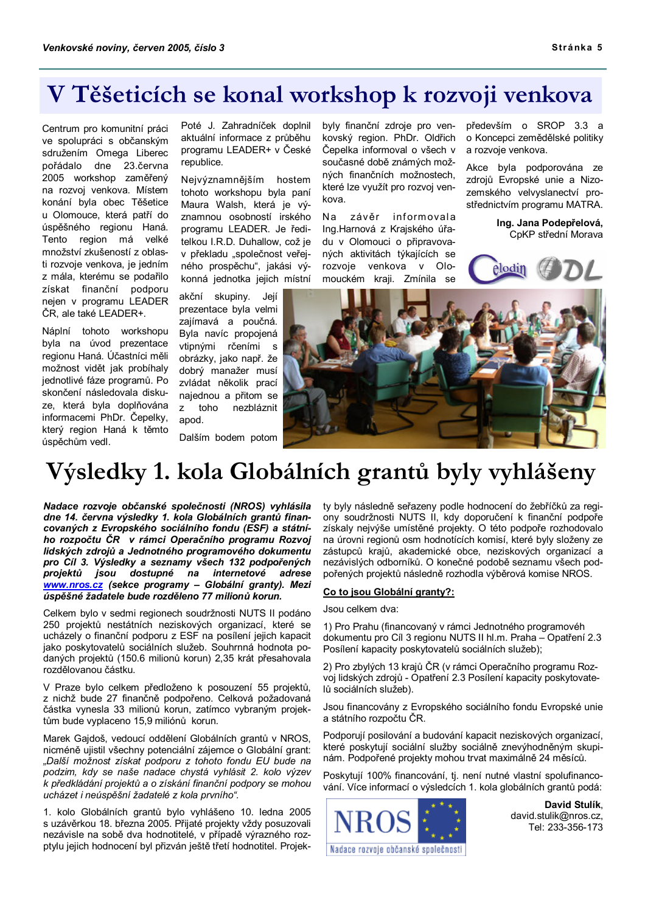# V Těšeticích se konal workshop k rozvoji venkova

Centrum pro komunitní práci ve spolupráci s občanským sdružením Omega Liberec pořádalo dne 23.června 2005 workshop zaměřený na rozvoj venkova. Místem konání byla obec Těšetice u Olomouce, která patří do úspěšného regionu Haná. Tento region má velké množství zkušeností z oblasti rozvoje venkova, je jedním z mála, kterému se podařilo získat finanční podporu neien v programu LEADER ČR. ale také LEADER+.

Náplní tohoto workshopu byla na úvod prezentace regionu Haná. Účastníci měli možnost vidět jak probíhaly jednotlivé fáze programů. Po skončení následovala diskuze, která byla doplňována informacemi PhDr. Čepelky, který region Haná k těmto úspěchům vedl.

Poté J. Zahradníček doplnil aktuální informace z průběhu programu LEADER+ v České republice.

Nejvýznamnějším hostem tohoto workshopu byla paní Maura Walsh, která je významnou osobností irského programu LEADER. Je ředitelkou I.R.D. Duhallow, což je v překladu "společnost veřejného prospěchu", jakási výkonná jednotka jejich místní

akční skupiny. Její prezentace byla velmi zajímavá a poučná. Byla navíc propojená vtipnými rčeními s obrázky, jako např. že dobrý manažer musí zvládat několik prací najednou a přitom se nezbláznit  $\overline{z}$ toho apod.

Dalším bodem potom

byly finanční zdroje pro venkovský region. PhDr. Oldřich Čenelka informoval o všech v současné době známých možných finančních možnostech, které lze využít pro rozvoj venkova

Na závěr informovala Ing.Harnová z Krajského úřadu v Olomouci o připravovaných aktivitách týkajících se rozvoje venkova v Olomouckém kraji. Zmínila se

především o SROP 3.3 a o Koncepci zemědělské politiky a rozvoie venkova.

Akce byla podporována ze zdrojů Evropské unie a Nizozemského velvyslanectví prostřednictvím programu MATRA.

> Ing. Jana Podepřelová, CpKP střední Morava





# Výsledky 1. kola Globálních grantů byly vyhlášeny

Nadace rozvoje občanské společnosti (NROS) vyhlásila dne 14. června výsledky 1. kola Globálních grantů financovaných z Evropského sociálního fondu (ESF) a státního rozpočtu ČR v rámci Operačního programu Rozvoj lidských zdrojů a Jednotného programového dokumentu pro Cíl 3. Výsledky a seznamy všech 132 podpořených projektů jsou dostupné na internetové adrese www.nros.cz (sekce programy - Globální granty). Mezi úspěšné žadatele bude rozděleno 77 milionů korun.

Celkem bylo v sedmi regionech soudržnosti NUTS II podáno 250 projektů nestátních neziskových organizací, které se ucházely o finanční podporu z ESF na posílení jejich kapacit jako poskytovatelů sociálních služeb. Souhrnná hodnota podaných projektů (150.6 milionů korun) 2,35 krát přesahovala rozdělovanou částku.

V Praze bylo celkem předloženo k posouzení 55 projektů, z nichž bude 27 finančně podpořeno. Celková požadovaná částka vynesla 33 milionů korun, zatímco vybraným projektům bude vyplaceno 15,9 miliónů korun.

Marek Gajdoš, vedoucí oddělení Globálních grantů v NROS, nicméně ujistil všechny potenciální zájemce o Globální grant: "Další možnost získat podporu z tohoto fondu EU bude na podzim, kdy se naše nadace chystá vyhlásit 2. kolo výzev k předkládání projektů a o získání finanční podpory se mohou ucházet i neúspěšní žadatelé z kola prvního".

1. kolo Globálních grantů bylo vyhlášeno 10. ledna 2005 s uzávěrkou 18. března 2005. Přijaté projekty vždy posuzovali nezávisle na sobě dva hodnotitelé, v případě výrazného rozptylu jejich hodnocení byl přizván ještě třetí hodnotitel. Projekty byly následně seřazeny podle hodnocení do žebříčků za regiony soudržnosti NUTS II. kdy doporučení k finanční podpoře získaly nejvýše umístěné projekty. O této podpoře rozhodovalo na úrovni regionů osm hodnotících komisí, které byly složeny ze zástupců krajů, akademické obce, neziskových organizací a nezávislých odborníků. O konečné podobě seznamu všech podpořených projektů následně rozhodla výběrová komise NROS.

### Co to jsou Globální granty?:

#### Jsou celkem dva:

1) Pro Prahu (financovaný v rámci Jednotného programovéh dokumentu pro Cíl 3 regionu NUTS II hl.m. Praha - Opatření 2.3 Posílení kapacity poskytovatelů sociálních služeb);

2) Pro zbylých 13 krajů ČR (v rámci Operačního programu Rozvoj lidských zdrojů - Opatření 2.3 Posílení kapacity poskytovatelů sociálních služeb).

Jsou financovány z Evropského sociálního fondu Evropské unie a státního rozpočtu ČR.

Podporují posilování a budování kapacit neziskových organizací, které poskytují sociální služby sociálně znevýhodněným skupinám. Podpořené projekty mohou trvat maximálně 24 měsíců.

Poskytují 100% financování, tj. není nutné vlastní spolufinancování. Více informací o výsledcích 1. kola globálních grantů podá:



David Stulík. david.stulik@nros.cz, Tel: 233-356-173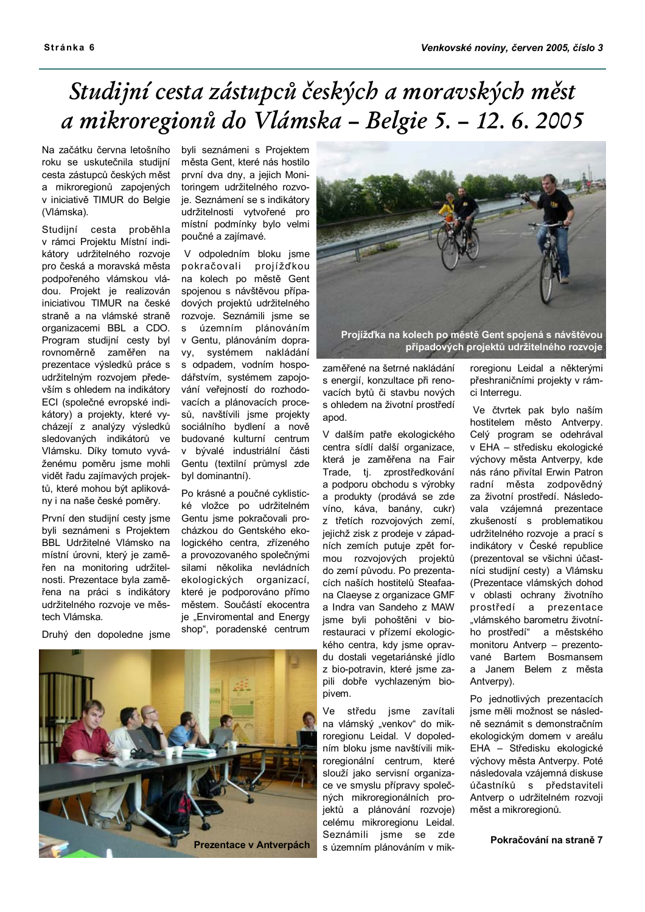# Studijní cesta zástupců českých a moravských měst a mikroregionů do Vlámska - Belgie 5. - 12. 6. 2005

Na začátku června letošního roku se uskutečnila studijní cesta zástupců českých měst a mikroregionů zapojených v iniciativě TIMUR do Belgie (Vlámska).

Studijní cesta proběhla v rámci Projektu Místní indikátory udržitelného rozvoje pro česká a moravská města podpořeného vlámskou vládou. Projekt je realizován iniciativou TIMUR na české straně a na vlámské straně organizacemi BBL a CDO. Program studiiní cesty byl rovnoměrně zaměřen na prezentace výsledků práce s udržitelným rozvojem především s ohledem na indikátory ECI (společné evropské indikátory) a projekty, které vycházejí z analýzy výsledků sledovaných indikátorů ve Vlámsku. Díky tomuto vyváženému poměru jsme mohli vidět řadu zajímavých projektů, které mohou být aplikovány i na naše české poměry.

První den studijní cesty jsme byli seznámeni s Projektem BBL Udržitelné Vlámsko na místní úrovni, který je zaměřen na monitoring udržitelnosti. Prezentace byla zaměřena na práci s indikátory udržitelného rozvoje ve městech Vlámska.

Druhý den dopoledne jsme

byli seznámeni s Projektem města Gent, které nás hostilo první dva dny, a jejich Monitoringem udržitelného rozvoje. Seznámení se s indikátory udržitelnosti vytvořené pro místní podmínky bylo velmi poučné a zajímavé.

V odpoledním bloku jsme pokračovali projížďkou na kolech po městě Gent spojenou s návštěvou případových projektů udržitelného rozvoje. Seznámili jsme se územním plánováním  $S$ v Gentu. plánováním dopra-VV. svstémem nakládání s odpadem, vodním hospodářstvím, systémem zapojování veřejností do rozhodovacích a plánovacích procesů, navštívili jsme projekty sociálního bydlení a nově budované kulturní centrum v bývalé industriální části Gentu (textilní průmysl zde byl dominantní).

Po krásné a poučné cyklistické vložce po udržitelném Gentu jsme pokračovali procházkou do Gentského ekologického centra, zřízeného a provozovaného společnými silami několika nevládních ekologických organizací, které je podporováno přímo městem. Součástí ekocentra je "Enviromental and Energy shop", poradenské centrum





případových projektů udržitelného rozvoje

zaměřené na šetrné nakládání s energií, konzultace při renovacích bytů či stavbu nových s ohledem na životní prostředí apod.

V dalším patře ekologického centra sídlí další organizace. která je zaměřena na Fair Trade, tj. zprostředkování a podporu obchodu s výrobky a produkty (prodává se zde víno, káva, banány, cukr) z třetích rozvojových zemí, jejichž zisk z prodeje v západních zemích putuje zpět formou rozvojových projektů do zemí původu. Po prezentacích naších hostitelů Steafaana Claevse z organizace GMF a Indra van Sandeho z MAW jsme byli pohoštěni v biorestauraci v přízemí ekologického centra, kdy jsme opravdu dostali vegetariánské jídlo z bio-potravin, které jsme zapili dobře vychlazeným biopivem.

Ve středu jsme zavítali na vlámský "venkov" do mikroregionu Leidal. V dopoledním bloku jsme navštívili mikroregionální centrum, které slouží jako servisní organizace ve smyslu přípravy společných mikroregionálních projektů a plánování rozvoje) celému mikroregionu Leidal. Seznámili jsme se zde s územním plánováním v mikroregionu Leidal a některými přeshraničními projekty v rámci Interregu.

Ve čtvrtek pak bylo naším hostitelem město Antverpy. Celý program se odehrával v EHA - středisku ekologické výchovy města Antverpy, kde nás ráno přivítal Erwin Patron radní města zodpovědný za životní prostředí. Následovala vzájemná prezentace zkušeností s problematikou udržitelného rozvoje a prací s indikátory v České republice (prezentoval se všichni účastníci studijní cesty) a Vlámsku (Prezentace vlámských dohod v oblasti ochrany životního prostředí a prezentace "vlámského barometru životního prostředí" a městského monitoru Antverp - prezentované Bartem Bosmansem a Janem Belem z města Antverpy).

Po jednotlivých prezentacích isme měli možnost se následně seznámit s demonstračním ekologickým domem v areálu EHA - Středisku ekologické výchovy města Antverpy. Poté následovala vzájemná diskuse účastníků s představiteli Antverp o udržitelném rozvoji měst a mikroregionů.

Pokračování na straně 7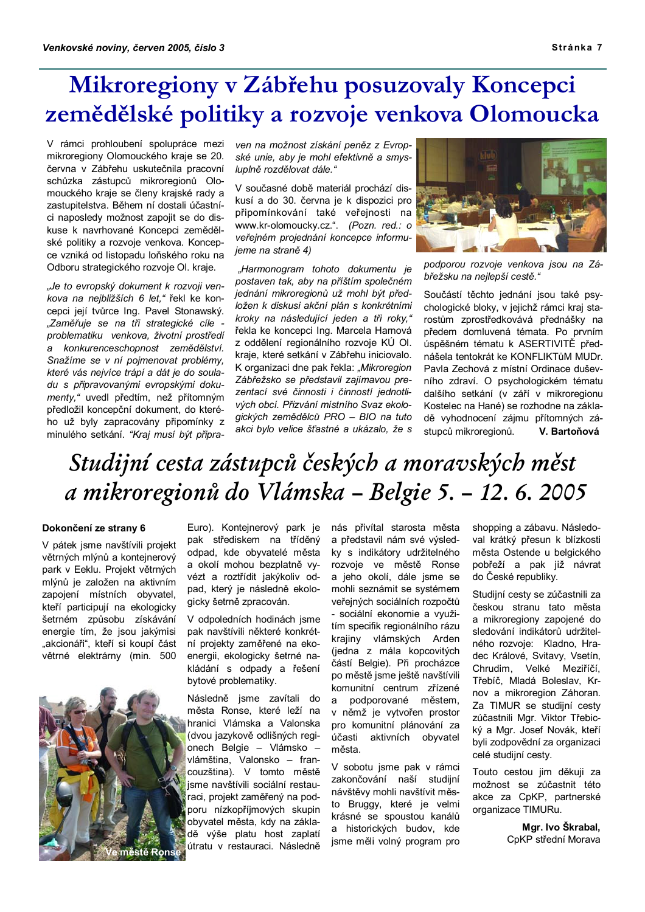# Mikroregiony v Zábřehu posuzovaly Koncepci zemědělské politiky a rozvoje venkova Olomoucka

V rámci prohloubení spolupráce mezi mikroregiony Olomouckého kraje se 20. června v Zábřehu uskutečnila pracovní schůzka zástupců mikroregionů Olomouckého kraje se členy krajské rady a zastupitelstva. Během ní dostali účastníci naposledy možnost zapojit se do diskuse k navrhované Koncepci zemědělské politiky a rozvoje venkova. Koncepce vzniká od listopadu loňského roku na Odboru strategického rozvoje OI. kraje.

"Je to evropský dokument k rozvoji venkova na nejbližších 6 let," řekl ke koncepci její tvůrce Ing. Pavel Stonawský. "Zaměřuje se na tři strategické cíle problematiku venkova, životní prostředí a konkurenceschopnost zemědělství. Snažíme se v ní pojmenovat problémy, které vás nejvíce trápí a dát je do souladu s připravovanými evropskými dokumenty," uvedl předtím, než přítomným předložil koncepční dokument, do kterého už byly zapracovány připomínky z minulého setkání. "Kraj musí být připraven na možnost získání peněz z Evropské unie, aby je mohl efektivně a smysluplně rozdělovat dále."

V současné době materiál prochází diskusí a do 30. června je k dispozici pro připomínkování také veřejnosti na www.kr-olomoucky.cz.". (Pozn. red.: o veřejném projednání koncepce informujeme na straně 4)

"Harmonogram tohoto dokumentu je postaven tak, aby na příštím společném jednání mikroregionů už mohl být předložen k diskusi akční plán s konkrétními kroky na následující jeden a tři roky," řekla ke koncepci Ing. Marcela Harnová z oddělení regionálního rozvoje KÚ OI. kraje, které setkání v Zábřehu iniciovalo. K organizaci dne pak řekla: "Mikroregion Zábřežsko se představil zajímavou prezentací své činnosti i činností jednotlivých obcí. Přizvání místního Svaz ekologických zemědělců PRO - BIO na tuto akci bylo velice šťastné a ukázalo, že s



podporou rozvoje venkova jsou na Zábřežsku na nejlepší cestě."

Součástí těchto jednání jsou také psychologické bloky, v jejichž rámci kraj starostům zprostředkovává přednášky na předem domluvená témata. Po prvním úspěšném tématu k ASERTIVITĚ přednášela tentokrát ke KONFI IKTůM MUDr. Pavla Zechová z místní Ordinace duševního zdraví. O psychologickém tématu dalšího setkání (v září v mikroregionu Kostelec na Hané) se rozhodne na základě vyhodnocení zájmu přítomných zá-V. Bartoňová stupců mikroregionů.

# Studijní cesta zástupců českých a moravských měst a mikroregionů do Vlámska - Belgie 5. - 12. 6. 2005

### Dokončení ze strany 6

V pátek jsme navštívili projekt větrných mlýnů a kontejnerový park v Eeklu. Projekt větrných mlýnů je založen na aktivním zapojení místních obyvatel, kteří participují na ekologicky šetrném způsobu získávání energie tím, že jsou jakýmisi "akcionáři", kteří si koupí část větrné elektrárny (min. 500



Euro). Kontejnerový park je pak střediskem na tříděný odpad. kde obvvatelé města a okolí mohou bezplatně vyvézt a roztřídit jakýkoliv odpad, který je následně ekologicky šetrně zpracován.

V odpoledních hodinách jsme pak navštívili některé konkrétní projekty zaměřené na ekoenergii, ekologicky šetrné nakládání s odpady a řešení bytové problematiky.

Následně isme zavítali do města Ronse, které leží na hranici Vlámska a Valonska (dvou jazykově odlišných regionech Belgie - Vlámsko vlámština, Valonsko - francouzština). V tomto městě isme navštívili sociální restauraci, projekt zaměřený na podporu nízkopříjmových skupin obyvatel města, kdy na základě výše platu host zaplatí útratu v restauraci. Následně

nás přivítal starosta města a představil nám své výsledkv s indikátory udržitelného rozvoje ve městě Ronse a jeho okolí, dále jsme se mohli seznámit se systémem veřejných sociálních rozpočtů - sociální ekonomie a vvužitím specifik regionálního rázu krajiny vlámských Arden (jedna z mála kopcovitých částí Belgie). Při procházce po městě jsme ještě navštívili komunitní centrum zřízené podporované městem,  $a$ v němž je vytvořen prostor pro komunitní plánování za účasti aktivních obyvatel města.

V sobotu jsme pak v rámci zakončování naší studijní návštěvy mohli navštívit město Bruggy, které je velmi krásné se spoustou kanálů a historických budov, kde jsme měli volný program pro

shopping a zábavu. Následoval krátký přesun k blízkosti města Ostende u belgického pobřeží a pak již návrat do České republiky.

Studijní cesty se zúčastnili za českou stranu tato města a mikroregiony zapojené do sledování indikátorů udržitelného rozvoje: Kladno, Hradec Králové, Svitavy, Vsetín, Chrudim, Velké Meziříčí, Třebíč, Mladá Boleslav, Krnov a mikroregion Záhoran. Za TIMUR se studijní cesty zúčastnili Mgr. Viktor Třebický a Mgr. Josef Novák, kteří byli zodpovědní za organizaci celé studijní cesty.

Touto cestou iim děkuji za možnost se zúčastnit této akce za CpKP, partnerské organizace TIMURu.

> Mar. Ivo Škrabal. CpKP střední Morava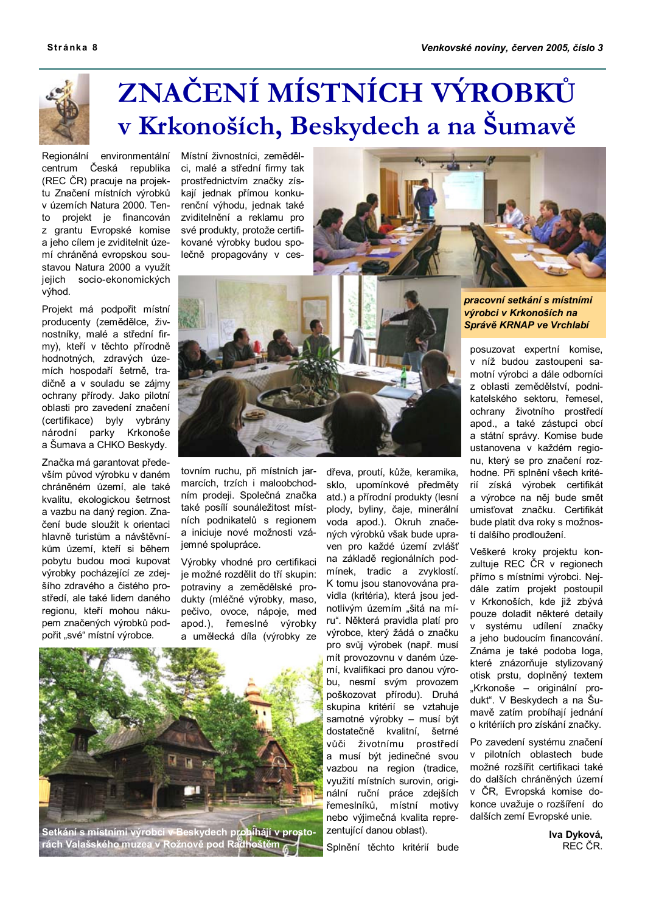

# ZNAČENÍ MÍSTNÍCH VÝROBKŮ v Krkonoších, Beskydech a na Šumavě

Regionální environmentální centrum Česká republika (REC ČR) pracuje na projektu Značení místních výrobků v územích Natura 2000. Tento projekt je financován z grantu Evropské komise a jeho cílem je zviditelnit území chráněná evropskou soustavou Natura 2000 a využít jejich socio-ekonomických výhod.

Projekt má podpořit místní producenty (zemědělce, živnostníky, malé a střední firmy), kteří v těchto přírodně hodnotných, zdravých územích hospodaří šetrně, tradičně a v souladu se zájmy ochrany přírody. Jako pilotní oblasti pro zavedení značení (certifikace) byly vybrány národní parky Krkonoše a Šumava a CHKO Beskydy.

Značka má garantovat především původ výrobku v daném chráněném území, ale také kvalitu, ekologickou šetrnost a vazbu na daný region. Značení bude sloužit k orientaci hlavně turistům a návštěvníkům území. kteří si během pobytu budou moci kupovat výrobky pocházející ze zdejšího zdravého a čistého prostředí, ale také lidem daného regionu, kteří mohou nákupem značených výrobků podpořit "své" místní výrobce.

Místní živnostníci, zemědělci, malé a střední firmy tak prostřednictvím značky získají jednak přímou konkurenční výhodu, jednak také zviditelnění a reklamu pro své produkty, protože certifikované výrobky budou společně propagovány v ces-





tovním ruchu, při místních jarmarcích, trzích i maloobchodním prodeji. Společná značka také posílí sounáležitost místních podnikatelů s regionem a iniciuje nové možnosti vzájemné spolupráce.

Výrobky vhodné pro certifikaci je možné rozdělit do tří skupin: potraviny a zemědělské produkty (mléčné výrobky, maso, pečivo, ovoce, nápoje, med apod.). řemeslné výrobky a umělecká díla (výrobky ze



Setkání s místními výrobci v Beskydech prohĺhájí v prosto-<br>rách Valašského muzea v Rožnově pod Radhoštěm

dřeva, proutí, kůže, keramika, sklo, upomínkové předměty atd.) a přírodní produkty (lesní plody, byliny, čaje, minerální voda apod.). Okruh značených výrobků však bude upraven pro každé území zvlášť na základě regionálních podmínek, tradic a zvyklostí. K tomu jsou stanovována pravidla (kritéria), která jsou jednotlivým územím "šitá na míru". Některá pravidla platí pro výrobce, který žádá o značku pro svůj výrobek (např. musí mít provozovnu v daném území, kvalifikaci pro danou výrobu, nesmí svým provozem poškozovat přírodu). Druhá skupina kritérií se vztahuje samotné výrobky – musí být dostatečně kvalitní, šetrné vůči životnímu prostředí a musí být jedinečné svou vazbou na region (tradice, využití místních surovin, originální ruční práce zdejších řemeslníků, místní motivy nebo výjimečná kvalita reprezentující danou oblast).

Splnění těchto kritérií bude

pracovní setkání s místními výrobci v Krkonoších na Správě KRNAP ve Vrchlabí

posuzovat expertní komise, v níž budou zastoupeni samotní výrobci a dále odborníci z oblasti zemědělství, podnikatelského sektoru, řemesel, ochrany životního prostředí apod., a také zástupci obcí a státní správy. Komise bude ustanovena v každém regionu, který se pro značení rozhodne. Při splnění všech kritérií získá výrobek certifikát a výrobce na něj bude smět umisťovat značku. Certifikát bude platit dva roky s možností dalšího prodloužení.

Veškeré kroky projektu konzultuje REC ČR v regionech přímo s místními výrobci. Nejdále zatím projekt postoupil v Krkonoších, kde již zbývá pouze doladit některé detaily v systému udílení značky a ieho budoucím financování. Známa je také podoba loga. které znázorňuje stylizovaný otisk prstu, doplněný textem "Krkonoše – originální produkt". V Beskydech a na Šumavě zatím probíhají jednání o kritériích pro získání značky.

Po zavedení systému značení v pilotních oblastech bude možné rozšířit certifikaci také do dalších chráněných území v ČR, Evropská komise dokonce uvažuje o rozšíření do dalších zemí Evropské unie.

> Iva Dyková, REC ČR.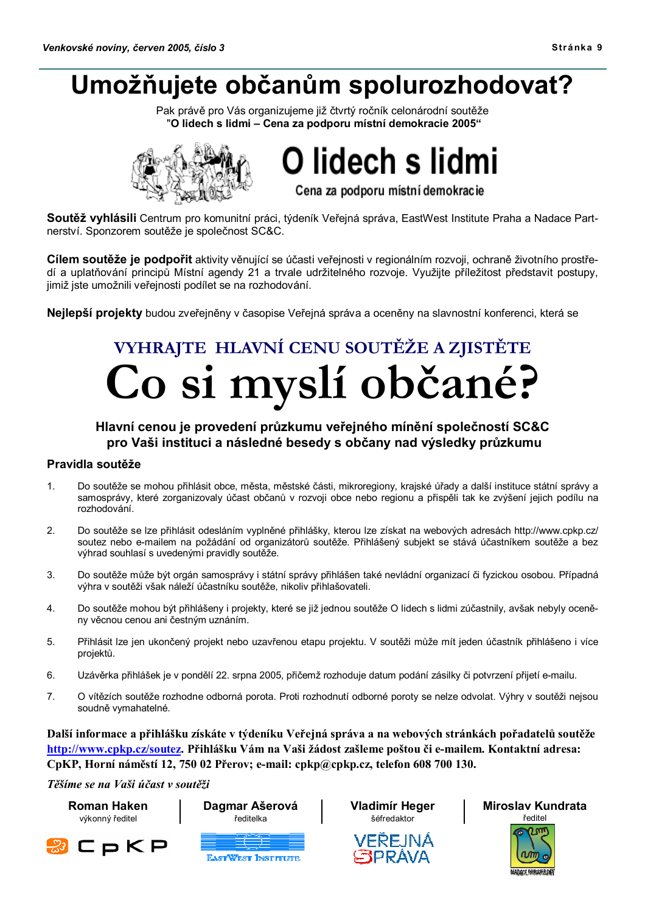# Umožňujete občanům spolurozhodovat?

Pak právě pro Vás organizujeme již čtvrtý ročník celonárodní soutěže "O lidech s lidmi - Cena za podporu místní demokracie 2005"



O lidech s lidmi

Cena za podporu místní demokracie

Soutěž vyhlásili Centrum pro komunitní práci, týdeník Veřejná správa, EastWest Institute Praha a Nadace Partnerství. Sponzorem soutěže je společnost SC&C.

Cílem soutěže je podpořit aktivity věnující se účasti veřejnosti v regionálním rozvoji, ochraně životního prostředí a uplatňování principů Místní agendy 21 a trvale udržitelného rozvoje. Využijte příležitost představit postupy. jimiž jste umožnili veřejnosti podílet se na rozhodování.

Nejlepší projekty budou zveřejněny v časopise Veřejná správa a oceněny na slavnostní konferenci, která se

# VYHRAJTE HLAVNÍ CENU SOUTĚŽE A ZJISTĚTE Co si myslí občané?

## Hlavní cenou je provedení průzkumu veřejného mínění společností SC&C pro Vaši instituci a následné besedy s občany nad výsledky průzkumu

### Pravidla soutěže

- $1.$ Do soutěže se mohou přihlásit obce, města, městské části, mikroregiony, krajské úřady a další instituce státní správy a samosprávy, které zorganizovaly účast občanů v rozvoji obce nebo regionu a přispěli tak ke zvýšení jejich podílu na rozhodování.
- $\mathcal{D}$ Do soutěže se lze přihlásit odesláním vyplněné přihlášky, kterou lze získat na webových adresách http://www.cpkp.cz/ soutez nebo e-mailem na požádání od organizátorů soutěže. Přihlášený subjekt se stává účastníkem soutěže a bez výhrad souhlasí s uvedenými pravidly soutěže.
- 3. Do soutěže může být orgán samosprávy i státní správy přihlášen také nevládní organizací či fyzickou osobou. Případná výhra v soutěži však náleží účastníku soutěže, nikoliv přihlašovateli.
- $\overline{4}$ . Do soutěže mohou být přihlášeny i projekty, které se již jednou soutěže O lidech s lidmi zúčastnily, avšak nebyly oceněny věcnou cenou ani čestným uznáním.
- 5. Přihlásit lze jen ukončený projekt nebo uzavřenou etapu projektu. V soutěži může mít jeden účastník přihlášeno i více projektů.
- 6. Uzávěrka přihlášek je v pondělí 22. srpna 2005, přičemž rozhoduje datum podání zásilky či potvrzení přijetí e-mailu.
- $\overline{7}$ O vítězích soutěže rozhodne odborná porota. Proti rozhodnutí odborné poroty se nelze odvolat. Výhry v soutěži nejsou soudně vymahatelné.

Další informace a přihlášku získáte v týdeníku Veřejná správa a na webových stránkách pořadatelů soutěže http://www.cpkp.cz/soutez. Přihlášku Vám na Vaši žádost zašleme poštou či e-mailem. Kontaktní adresa: CpKP, Horní náměstí 12, 750 02 Přerov; e-mail: cpkp@cpkp.cz, telefon 608 700 130.

Těšíme se na Vaši účast v soutěži

**Roman Haken** výkonný ředitel





Dagmar Ašerová





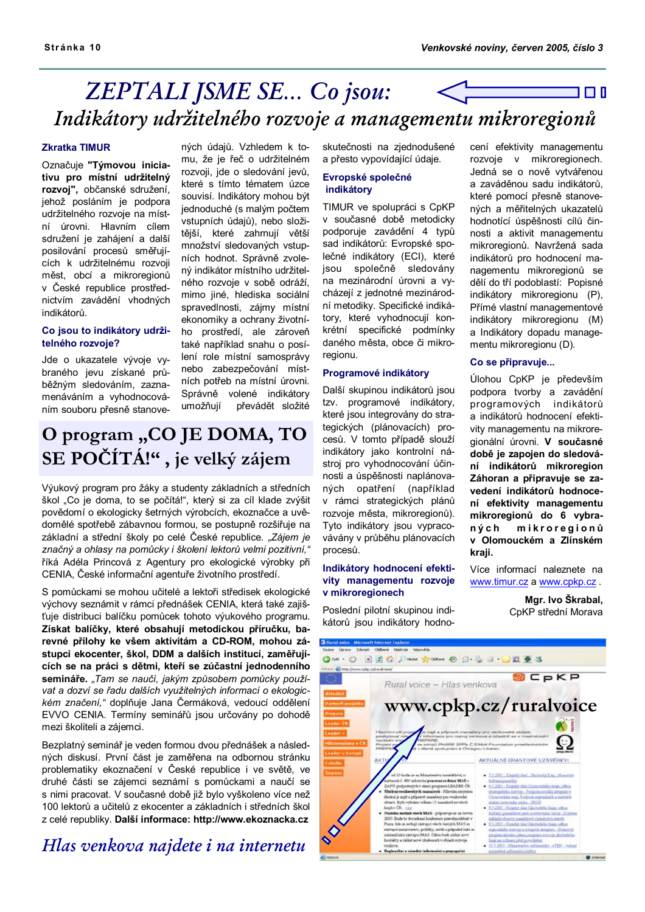## **ZEPTALI JSME SE... Co jsou:** 1 O I Indikátory udržitelného rozvoje a managementu mikroregionů

### **Zkratka TIMUR**

Označuje "Týmovou iniciativu pro místní udržitelný rozvoj", občanské sdružení, jehož posláním je podpora udržitelného rozvoje na místní úrovni. Hlavním cílem sdružení je zahájení a další posilování procesů směřujících k udržitelnému rozvoji měst, obcí a mikroregionů v České republice prostřednictvím zavádění vhodných indikátorů.

### Co isou to indikátory udržitelného rozvoje?

Jde o ukazatele vývoje vybraného jevu získané průběžným sledováním, zaznamenáváním a vyhodnocováním souboru přesně stanovených údajů. Vzhledem k tomu, že je řeč o udržitelném rozvoji, jde o sledování jevů, které s tímto tématem úzce souvisí. Indikátory mohou být jednoduché (s malým počtem vstupních údajů), nebo složitější, které zahrnují větší množství sledovaných vstupních hodnot. Správně zvolený indikátor místního udržitelného rozvoie v sobě odráží. mimo jiné, hlediska sociální spravedlnosti, zájmy místní ekonomiky a ochrany životního prostředí, ale zároveň také například snahu o posílení role místní samosprávy nebo zabezpečování místních potřeb na místní úrovni. Správně volené indikátory umožňují převádět složité

# O program "CO JE DOMA, TO SE POČÍTÁ!", je velký zájem

Výukový program pro žáky a studenty základních a středních škol "Co je doma, to se počítá!", který si za cíl klade zvýšit povědomí o ekologicky šetrných výrobcích, ekoznačce a uvědomělé spotřebě zábavnou formou, se postupně rozšiřuje na základní a střední školy po celé České republice. "Zájem je značný a ohlasy na pomůcky i školení lektorů velmi pozitivní," říká Adéla Princová z Agentury pro ekologické výrobky při CENIA, České informační agentuře životního prostředí.

S pomůckami se mohou učitelé a lektoři středisek ekologické výchovy seznámit v rámci přednášek CENIA, která také zajišťuje distribuci balíčku pomůcek tohoto výukového programu. Získat balíčky, které obsahují metodickou příručku, barevné přílohy ke všem aktivitám a CD-ROM, mohou zástupci ekocenter, škol, DDM a dalších institucí, zaměřujících se na práci s dětmi, kteří se zúčastní jednodenního semináře. "Tam se naučí, jakým způsobem pomůcky používat a dozví se řadu dalších využitelných informací o ekologickém značení," doplňuje Jana Čermáková, vedoucí oddělení EVVO CENIA. Termíny seminářů jsou určovány po dohodě mezi školiteli a zájemci.

Bezplatný seminář je veden formou dvou přednášek a následných diskusí. První část je zaměřena na odbornou stránku problematiky ekoznačení v České republice i ve světě, ve druhé části se zájemci seznámí s pomůckami a naučí se s nimi pracovat. V současné době již bylo vyškoleno více než 100 lektorů a učitelů z ekocenter a základních i středních škol z celé republiky. Další informace: http://www.ekoznacka.cz

## Hlas venkova najdete i na internetu

skutečnosti na ziednodušené a přesto vypovídající údaje.

### Evropské společné indikátory

TIMUR ve spolupráci s CpKP v současné době metodicky podporuje zavádění 4 typů sad indikátorů: Evropské společné indikátory (ECI), které jsou společně sledovány na mezinárodní úrovni a vvcházejí z jednotné mezinárodní metodiky. Specifické indikátory, které vyhodnocují konkrétní specifické podmínky daného města, obce či mikroregionu.

### Programové indikátory

Další skupinou indikátorů isou tzv. programové indikátory, které jsou integrovány do strategických (plánovacích) procesů. V tomto případě slouží indikátory jako kontrolní nástroj pro vyhodnocování účinnosti a úspěšnosti naplánovaných opatření (například v rámci strategických plánů rozvoje města, mikroregionů). Tyto indikátory jsou vypracovávány v průběhu plánovacích procesů.

### Indikátory hodnocení efektivity managementu rozvoie v mikroregionech

Poslední pilotní skupinou indikátorů jsou indikátory hodnocení efektivity managementu rozvoje v mikroregionech. Jedná se o nově vytvářenou a zaváděnou sadu indikátorů, které pomocí přesně stanovených a měřitelných ukazatelů hodnotící úspěšnosti cílů činnosti a aktivit managementu mikroregionů. Navržená sada indikátorů pro hodnocení managementu mikroregionů se dělí do tří podoblastí: Popisné indikátory mikroregionu (P), Přímé vlastní managementové indikátory mikroregionu (M) a Indikátory dopadu managementu mikroregionu (D).

### Co se připravuie...

Úlohou CpKP je především podpora tvorby a zavádění programových indikátorů a indikátorů hodnocení efektivity managementu na mikroregionální úrovni. V současné době je zapojen do sledování indikátorů mikroregion Záhoran a připravuje se zavedení indikátorů hodnocení efektivity managementu mikroregionů do 6 vybramikroregionů ných v Olomouckém a Zlínském kraii.

Více informací naleznete na www.timur.cz a www.cpkp.cz.

> Mar. Ivo Škrabal. C<sub>b</sub>KP střední Morava

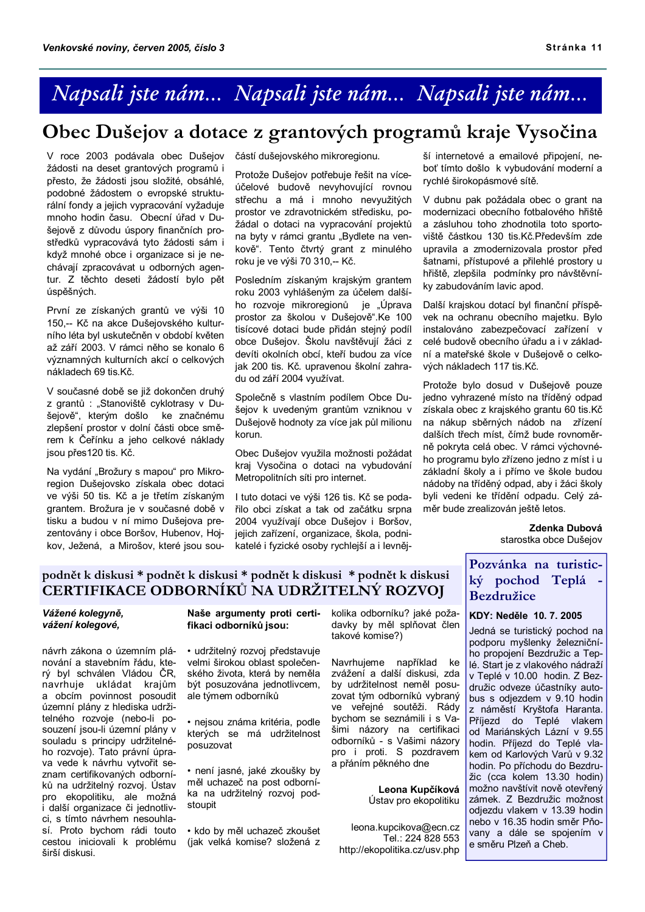# Napsali jste nám... Napsali jste nám... Napsali jste nám...

# Obec Dušejov a dotace z grantových programů kraje Vysočina

V roce 2003 podávala obec Dušejov žádosti na deset grantových programů i přesto, že žádosti jsou složité, obsáhlé, podobné žádostem o evropské strukturální fondy a jejich vypracování vyžaduje mnoho hodin času. Obecní úřad v Dušejově z důvodu úspory finančních prostředků vypracovává tyto žádosti sám i když mnohé obce i organizace si je nechávají zpracovávat u odborných agentur. Z těchto deseti žádostí bylo pět úspěšných.

První ze získaných grantů ve výši 10 150,-- Kč na akce Dušejovského kulturního léta byl uskutečněn v období květen až září 2003. V rámci něho se konalo 6 významných kulturních akcí o celkových nákladech 69 tis.Kč.

V současné době se již dokončen druhý z grantů : "Stanoviště cyklotrasy v Dušejově", kterým došlo ke značnému zlepšení prostor v dolní části obce směrem k Čeřínku a jeho celkové náklady jsou přes120 tis. Kč.

Na vydání "Brožury s mapou" pro Mikroregion Dušejovsko získala obec dotaci ve výši 50 tis. Kč a je třetím získaným grantem. Brožura je v současné době v tisku a budou v ní mimo Dušejova prezentovány i obce Boršov, Hubenov, Hojkov, Ježená, a Mirošov, které jsou součástí dušejovského mikroregionu.

Protože Dušejov potřebuje řešit na víceúčelové budově nevyhovující rovnou střechu a má i mnoho nevyužitých prostor ve zdravotnickém středisku, požádal o dotaci na vypracování projektů na byty v rámci grantu "Bydlete na venkově". Tento čtvrtý grant z minulého roku je ve výši 70 310,-- Kč.

Posledním získaným krajským grantem roku 2003 vyhlášeným za účelem dalšího rozvoje mikroregionů je "Úprava prostor za školou v Dušejově".Ke 100 tisícové dotaci bude přidán stejný podíl obce Dušejov. Školu navštěvují žáci z devíti okolních obcí, kteří budou za více jak 200 tis. Kč. upravenou školní zahradu od září 2004 využívat.

Společně s vlastním podílem Obce Dušejov k uvedeným grantům vzniknou v Dušejově hodnoty za více jak půl milionu korun.

Obec Dušejov využila možnosti požádat kraj Vysočina o dotaci na vybudování Metropolitních síti pro internet.

I tuto dotaci ve výši 126 tis. Kč se podařilo obci získat a tak od začátku srpna 2004 využívají obce Dušejov i Boršov, jejich zařízení, organizace, škola, podnikatelé i fyzické osoby rychlejší a i levnější internetové a emailové připojení, neboť tímto došlo k vybudování moderní a rychlé širokopásmové sítě.

V dubnu pak požádala obec o grant na modernizaci obecního fotbalového hřiště a zásluhou toho zhodnotila toto sportoviště částkou 130 tis.Kč.Především zde upravila a zmodernizovala prostor před šatnami, přístupové a přilehlé prostory u hřiště, zlepšila podmínky pro návštěvníky zabudováním lavic apod.

Další krajskou dotací byl finanční příspěvek na ochranu obecního majetku. Bylo instalováno zabezpečovací zařízení v celé budově obecního úřadu a i v základní a mateřské škole v Dušejově o celkových nákladech 117 tis.Kč.

Protože bylo dosud v Dušejově pouze jedno vyhrazené místo na tříděný odpad získala obec z krajského grantu 60 tis.Kč na nákup sběrných nádob na zřízení dalších třech míst. čímž bude rovnoměrně pokryta celá obec. V rámci výchovného programu bylo zřízeno jedno z míst i u základní školy a i přímo ve škole budou nádoby na tříděný odpad, aby i žáci školy byli vedení ke třídění odpadu. Celý záměr bude zrealizován ještě letos.

> Zdenka Dubová starostka obce Dušejov

## podnět k diskusi \* podnět k diskusi \* podnět k diskusi \* podnět k diskusi CERTIFIKACE ODBORNÍKŮ NA UDRŽITELNÝ ROZVOJ

### Vážené kolegyně, vážení kolegové,

návrh zákona o územním plánování a stavebním řádu, který byl schválen Vládou ČR, navrhuie ukládat krajům a obcím povinnost posoudit územní plány z hlediska udržitelného rozvoje (nebo-li posouzení jsou-li územní plány v souladu s principy udržitelného rozvoje). Tato právní úprava vede k návrhu vytvořit seznam certifikovaných odborníků na udržitelný rozvoj. Ústav pro ekopolitiku, ale možná i další organizace či jednotlivci, s tímto návrhem nesouhlasí. Proto bychom rádi touto cestou iniciovali k problému širší diskusi.

### Naše argumenty proti certifikaci odborníků isou:

· udržitelný rozvoj představuje velmi širokou oblast společenského života, která by neměla být posuzována jednotlivcem. ale týmem odborníků

· nejsou známa kritéria, podle kterých se má udržitelnost posuzovat

· není jasné, jaké zkoušky by měl uchazeč na post odborníka na udržitelný rozvoj podstoupit

· kdo by měl uchazeč zkoušet (jak veľká komise? složená z kolika odborníku? jaké požadavky by měl splňovat člen takové komise?)

Navrhujeme například ke zvážení a další diskusi, zda by udržitelnost neměl posuzovat tým odborníků vybraný ve veřejné soutěži. Rády bychom se seznámili i s Vašimi názory na certifikaci odborníků - s Vašimi názory pro i proti. S pozdravem a přáním pěkného dne

#### Leona Kupčíková Ústav pro ekopolitiku

leona.kupcikova@ecn.cz Tel.: 224 828 553 http://ekopolitika.cz/usv.php

## Pozvánka na turistický pochod Teplá -**Bezdružice**

### KDY: Neděle 10 7 2005

Jedná se turistický pochod na podporu myšlenky železničního propojení Bezdružic a Teplé. Start je z vlakového nádraží v Teplé v 10.00 hodin. Z Bezdružic odveze účastníky autobus s odjezdem v 9.10 hodin z náměstí Kryštofa Haranta. Příjezd do Teplé vlakem od Mariánských Lázní v 9.55 hodin. Příjezd do Teplé vlakem od Karlových Varů v 9.32 hodin. Po příchodu do Bezdružic (cca kolem 13.30 hodin) možno navštívit nově otevřený zámek. Z Bezdružic možnost odjezdu vlakem v 13.39 hodin nebo v 16.35 hodin směr Pňovany a dále se spojením v e směru Plzeň a Cheb.